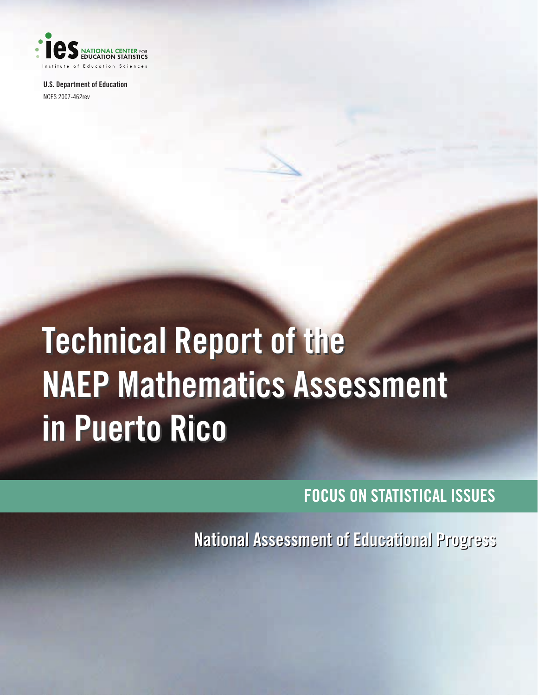

**U.S. Department of Education** NCES 2007-462rev

# **Technical Report of the Technical Report of the NAEP Mathematics Assessment NAEP Mathematics Assessment in Puerto Rico in Puerto Rico**

**FOCUS ON STATISTICAL ISSUES**

**National Assessment of Educational Progress National Assessment of Educational Progress**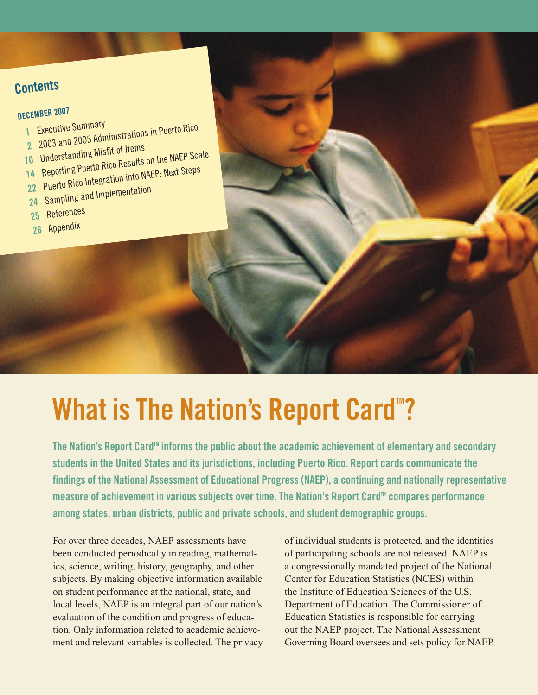## **Contents**

## **DECEMBER 2007**

- **1** Executive Summary **2** Executive Summary<br>2 2003 and 2005 Administrations in Puerto Rico
- 
- 10 Understanding Misfit of Items 14 Reporting Puerto Rico Results on the NAEP Scale
- **<sup>22</sup>** Puerto Rico Integration into NAEP: Next Steps
- **24** Sampling and Implementation
- 
- **25** References
- **<sup>26</sup>** Appendix

# **What is The Nation's Report Card<sup>"</sup>?**

The Nation's Report Card<sup>™</sup> informs the public about the academic achievement of elementary and secondary **students in the United States and its jurisdictions, including Puerto Rico. Report cards communicate the findings of the National Assessment of Educational Progress (NAEP), a continuing and nationally representative measure of achievement in various subjects over time. The Nation's Report Card<sup>®</sup> compares performance among states, urban districts, public and private schools, and student demographic groups.**

For over three decades, NAEP assessments have been conducted periodically in reading, mathematics, science, writing, history, geography, and other subjects. By making objective information available on student performance at the national, state, and local levels, NAEP is an integral part of our nation's evaluation of the condition and progress of education. Only information related to academic achievement and relevant variables is collected. The privacy of individual students is protected, and the identities of participating schools are not released. NAEP is a congressionally mandated project of the National Center for Education Statistics (NCES) within the Institute of Education Sciences of the U.S. Department of Education. The Commissioner of Education Statistics is responsible for carrying out the NAEP project. The National Assessment Governing Board oversees and sets policy for NAEP.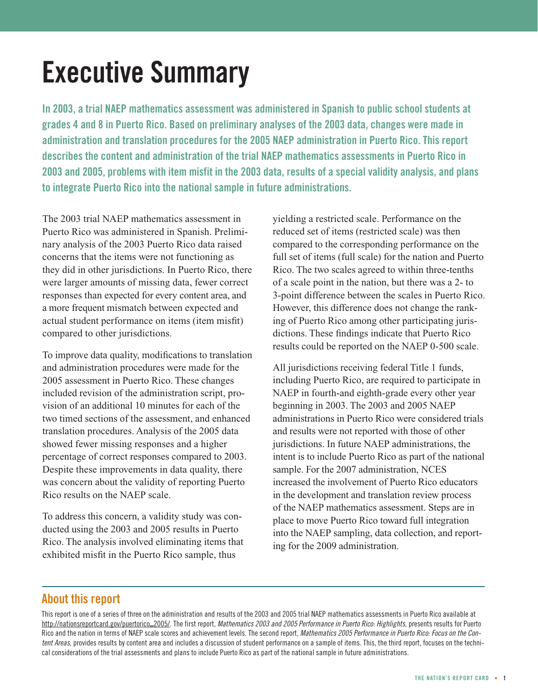# **Executive Summary**

**In 2003, a trial NAEP mathematics assessment was administered in Spanish to public school students at grades 4 and 8 in Puerto Rico. Based on preliminary analyses of the 2003 data, changes were made in administration and translation procedures for the 2005 NAEP administration in Puerto Rico. This report describes the content and administration of the trial NAEP mathematics assessments in Puerto Rico in 2003 and 2005, problems with item misfit in the 2003 data, results of a special validity analysis, and plans to integrate Puerto Rico into the national sample in future administrations.**

The 2003 trial NAEP mathematics assessment in Puerto Rico was administered in Spanish. Preliminary analysis of the 2003 Puerto Rico data raised concerns that the items were not functioning as they did in other jurisdictions. In Puerto Rico, there were larger amounts of missing data, fewer correct responses than expected for every content area, and a more frequent mismatch between expected and actual student performance on items (item misfit) compared to other jurisdictions.

To improve data quality, modifications to translation and administration procedures were made for the 2005 assessment in Puerto Rico. These changes included revision of the administration script, provision of an additional 10 minutes for each of the two timed sections of the assessment, and enhanced translation procedures. Analysis of the 2005 data showed fewer missing responses and a higher percentage of correct responses compared to 2003. Despite these improvements in data quality, there was concern about the validity of reporting Puerto Rico results on the NAEP scale.

To address this concern, a validity study was conducted using the 2003 and 2005 results in Puerto Rico. The analysis involved eliminating items that exhibited misfit in the Puerto Rico sample, thus

yielding a restricted scale. Performance on the reduced set of items (restricted scale) was then compared to the corresponding performance on the full set of items (full scale) for the nation and Puerto Rico. The two scales agreed to within three-tenths of a scale point in the nation, but there was a 2- to 3-point difference between the scales in Puerto Rico. However, this difference does not change the ranking of Puerto Rico among other participating jurisdictions. These findings indicate that Puerto Rico results could be reported on the NAEP 0-500 scale.

All jurisdictions receiving federal Title 1 funds, including Puerto Rico, are required to participate in NAEP in fourth-and eighth-grade every other year beginning in 2003. The 2003 and 2005 NAEP administrations in Puerto Rico were considered trials and results were not reported with those of other jurisdictions. In future NAEP administrations, the intent is to include Puerto Rico as part of the national sample. For the 2007 administration, NCES increased the involvement of Puerto Rico educators in the development and translation review process of the NAEP mathematics assessment. Steps are in place to move Puerto Rico toward full integration into the NAEP sampling, data collection, and reporting for the 2009 administration.

## **About this report**

This report is one of a series of three on the administration and results of the 2003 and 2005 trial NAEP mathematics assessments in Puerto Rico available at http://nationsreportcard.gov/puertorico\_2005/. The first report, *Mathematics 2003 and 2005 Performance in Puerto Rico: Highlights,* presents results for Puerto Rico and the nation in terms of NAEP scale scores and achievement levels. The second report, *Mathematics 2005 Performance in Puerto Rico: Focus on the Content Areas,* provides results by content area and includes a discussion of student performance on a sample of items. This, the third report, focuses on the technical considerations of the trial assessments and plans to include Puerto Rico as part of the national sample in future administrations.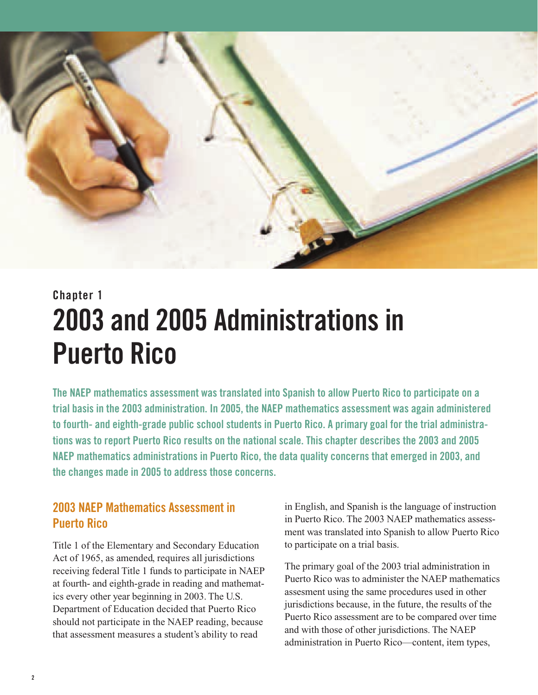

## **Chapter 1 2003 and 2005 Administrations in Puerto Rico**

**The NAEP mathematics assessment was translated into Spanish to allow Puerto Rico to participate on a trial basis in the 2003 administration. In 2005, the NAEP mathematics assessment was again administered to fourth- and eighth-grade public school students in Puerto Rico. A primary goal for the trial administrations was to report Puerto Rico results on the national scale. This chapter describes the 2003 and 2005 NAEP mathematics administrations in Puerto Rico, the data quality concerns that emerged in 2003, and the changes made in 2005 to address those concerns.**

## **2003 NAEP Mathematics Assessment in Puerto Rico**

Title 1 of the Elementary and Secondary Education Act of 1965, as amended, requires all jurisdictions receiving federal Title 1 funds to participate in NAEP at fourth- and eighth-grade in reading and mathematics every other year beginning in 2003. The U.S. Department of Education decided that Puerto Rico should not participate in the NAEP reading, because that assessment measures a student's ability to read

in English, and Spanish is the language of instruction in Puerto Rico. The 2003 NAEP mathematics assessment was translated into Spanish to allow Puerto Rico to participate on a trial basis.

The primary goal of the 2003 trial administration in Puerto Rico was to administer the NAEP mathematics assesment using the same procedures used in other jurisdictions because, in the future, the results of the Puerto Rico assessment are to be compared over time and with those of other jurisdictions. The NAEP administration in Puerto Rico—content, item types,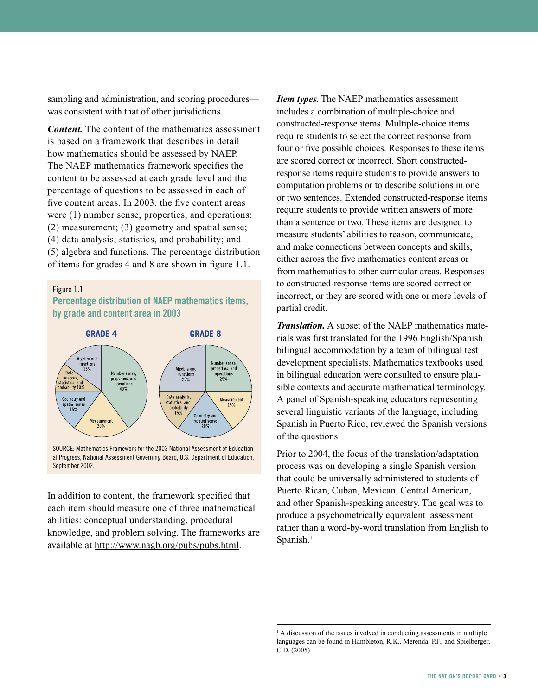sampling and administration, and scoring procedures was consistent with that of other jurisdictions.

*Content.* The content of the mathematics assessment is based on a framework that describes in detail how mathematics should be assessed by NAEP. The NAEP mathematics framework specifies the content to be assessed at each grade level and the percentage of questions to be assessed in each of five content areas. In 2003, the five content areas were (1) number sense, properties, and operations; (2) measurement; (3) geometry and spatial sense; (4) data analysis, statistics, and probability; and (5) algebra and functions. The percentage distribution of items for grades 4 and 8 are shown in figure 1.1.

#### Figure 1.1

### **Percentage distribution of NAEP mathematics items, by grade and content area in 2003**



SOURCE: Mathematics Framework for the 2003 National Assessment of Educational Progress, National Assessment Governing Board, U.S. Department of Education, September 2002.

In addition to content, the framework specified that each item should measure one of three mathematical abilities: conceptual understanding, procedural knowledge, and problem solving. The frameworks are available at http://www.nagb.org/pubs/pubs.html.

*Item types.* The NAEP mathematics assessment includes a combination of multiple-choice and constructed-response items. Multiple-choice items require students to select the correct response from four or five possible choices. Responses to these items are scored correct or incorrect. Short constructedresponse items require students to provide answers to computation problems or to describe solutions in one or two sentences. Extended constructed-response items require students to provide written answers of more than a sentence or two. These items are designed to measure students' abilities to reason, communicate, and make connections between concepts and skills, either across the five mathematics content areas or from mathematics to other curricular areas. Responses to constructed-response items are scored correct or incorrect, or they are scored with one or more levels of partial credit.

*Translation.* A subset of the NAEP mathematics materials was first translated for the 1996 English/Spanish bilingual accommodation by a team of bilingual test development specialists. Mathematics textbooks used in bilingual education were consulted to ensure plausible contexts and accurate mathematical terminology. A panel of Spanish-speaking educators representing several linguistic variants of the language, including Spanish in Puerto Rico, reviewed the Spanish versions of the questions.

Prior to 2004, the focus of the translation/adaptation process was on developing a single Spanish version that could be universally administered to students of Puerto Rican, Cuban, Mexican, Central American, and other Spanish-speaking ancestry. The goal was to produce a psychometrically equivalent assessment rather than a word-by-word translation from English to Spanish. $<sup>1</sup>$ </sup>

<sup>&</sup>lt;sup>1</sup> A discussion of the issues involved in conducting assessments in multiple languages can be found in Hambleton, R.K., Merenda, P.F., and Spielberger, C.D. (2005).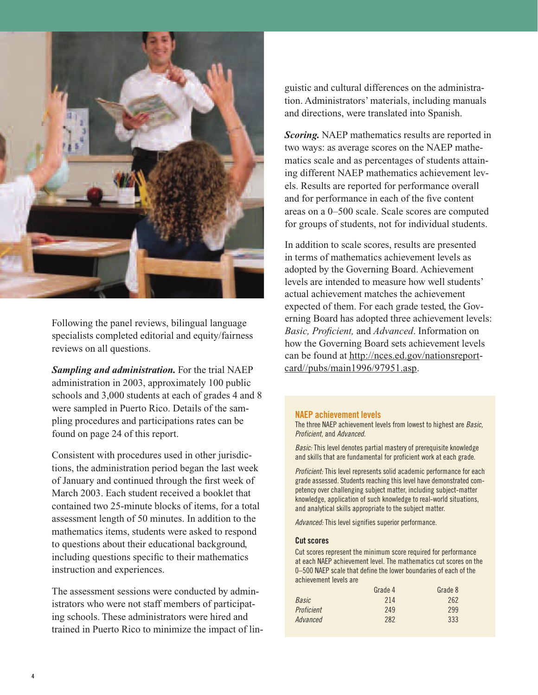

Following the panel reviews, bilingual language specialists completed editorial and equity/fairness reviews on all questions.

*Sampling and administration.* For the trial NAEP administration in 2003, approximately 100 public schools and 3,000 students at each of grades 4 and 8 were sampled in Puerto Rico. Details of the sampling procedures and participations rates can be found on page 24 of this report.

Consistent with procedures used in other jurisdictions, the administration period began the last week of January and continued through the first week of March 2003. Each student received a booklet that contained two 25-minute blocks of items, for a total assessment length of 50 minutes. In addition to the mathematics items, students were asked to respond to questions about their educational background, including questions specific to their mathematics instruction and experiences.

The assessment sessions were conducted by administrators who were not staff members of participating schools. These administrators were hired and trained in Puerto Rico to minimize the impact of lin-

guistic and cultural differences on the administration. Administrators' materials, including manuals and directions, were translated into Spanish.

*Scoring.* NAEP mathematics results are reported in two ways: as average scores on the NAEP mathematics scale and as percentages of students attaining different NAEP mathematics achievement levels. Results are reported for performance overall and for performance in each of the five content areas on a 0–500 scale. Scale scores are computed for groups of students, not for individual students.

In addition to scale scores, results are presented in terms of mathematics achievement levels as adopted by the Governing Board. Achievement levels are intended to measure how well students' actual achievement matches the achievement expected of them. For each grade tested, the Governing Board has adopted three achievement levels: *Basic, Proficient,* and *Advanced*. Information on how the Governing Board sets achievement levels can be found at http://nces.ed.gov/nationsreportcard//pubs/main1996/97951.asp.

#### **NAEP achievement levels**

The three NAEP achievement levels from lowest to highest are *Basic, Proficient,* and *Advanced.*

*Basic:* This level denotes partial mastery of prerequisite knowledge and skills that are fundamental for proficient work at each grade.

*Proficient:* This level represents solid academic performance for each grade assessed. Students reaching this level have demonstrated competency over challenging subject matter, including subject-matter knowledge, application of such knowledge to real-world situations, and analytical skills appropriate to the subject matter.

*Advanced:* This level signifies superior performance.

#### **Cut scores**

Cut scores represent the minimum score required for performance at each NAEP achievement level. The mathematics cut scores on the 0–500 NAEP scale that define the lower boundaries of each of the achievement levels are

| Grade 4 | Grade 8 |
|---------|---------|
| 214     | 262     |
| 249     | 299     |
| 282     | 333     |
|         |         |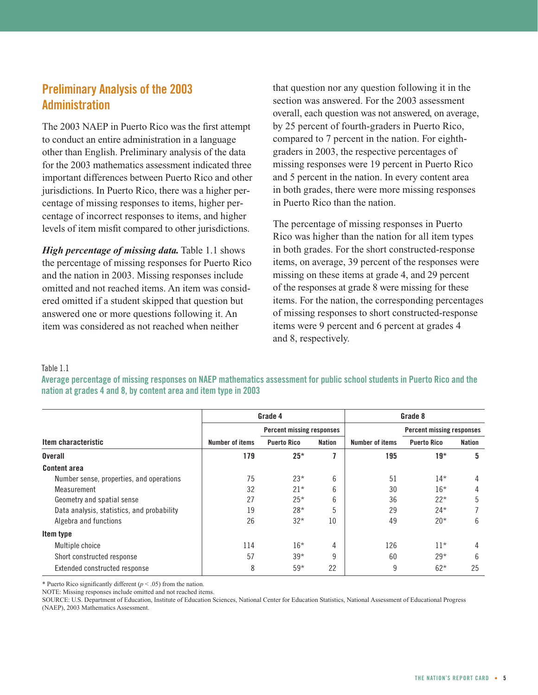## **Preliminary Analysis of the 2003 Administration**

The 2003 NAEP in Puerto Rico was the first attempt to conduct an entire administration in a language other than English. Preliminary analysis of the data for the 2003 mathematics assessment indicated three important differences between Puerto Rico and other jurisdictions. In Puerto Rico, there was a higher percentage of missing responses to items, higher percentage of incorrect responses to items, and higher levels of item misfit compared to other jurisdictions.

*High percentage of missing data.* Table 1.1 shows the percentage of missing responses for Puerto Rico and the nation in 2003. Missing responses include omitted and not reached items. An item was considered omitted if a student skipped that question but answered one or more questions following it. An item was considered as not reached when neither

that question nor any question following it in the section was answered. For the 2003 assessment overall, each question was not answered, on average, by 25 percent of fourth-graders in Puerto Rico, compared to 7 percent in the nation. For eighthgraders in 2003, the respective percentages of missing responses were 19 percent in Puerto Rico and 5 percent in the nation. In every content area in both grades, there were more missing responses in Puerto Rico than the nation.

The percentage of missing responses in Puerto Rico was higher than the nation for all item types in both grades. For the short constructed-response items, on average, 39 percent of the responses were missing on these items at grade 4, and 29 percent of the responses at grade 8 were missing for these items. For the nation, the corresponding percentages of missing responses to short constructed-response items were 9 percent and 6 percent at grades 4 and 8, respectively.

#### Table 1.1

**Average percentage of missing responses on NAEP mathematics assessment for public school students in Puerto Rico and the nation at grades 4 and 8, by content area and item type in 2003**

|                                            |                 | Grade 4                          |               | Grade 8         |                                  |               |
|--------------------------------------------|-----------------|----------------------------------|---------------|-----------------|----------------------------------|---------------|
|                                            |                 | <b>Percent missing responses</b> |               |                 | <b>Percent missing responses</b> |               |
| Item characteristic                        | Number of items | <b>Puerto Rico</b>               | <b>Nation</b> | Number of items | <b>Puerto Rico</b>               | <b>Nation</b> |
| <b>Overall</b>                             | 179             | $25*$                            |               | 195             | $19*$                            | 5             |
| <b>Content area</b>                        |                 |                                  |               |                 |                                  |               |
| Number sense, properties, and operations   | 75              | $23*$                            | 6             | 51              | $14*$                            | 4             |
| Measurement                                | 32              | $21*$                            | 6             | 30              | $16*$                            | 4             |
| Geometry and spatial sense                 | 27              | $25*$                            | 6             | 36              | $22*$                            | 5             |
| Data analysis, statistics, and probability | 19              | $28*$                            | 5             | 29              | $24*$                            |               |
| Algebra and functions                      | 26              | $32*$                            | 10            | 49              | $20*$                            | 6             |
| Item type                                  |                 |                                  |               |                 |                                  |               |
| Multiple choice                            | 114             | $16*$                            | 4             | 126             | $11*$                            | 4             |
| Short constructed response                 | 57              | $39*$                            | 9             | 60              | $29*$                            | 6             |
| Extended constructed response              | 8               | $59*$                            | 22            | 9               | $62*$                            | 25            |

\* Puerto Rico significantly different  $(p < .05)$  from the nation.

NOTE: Missing responses include omitted and not reached items.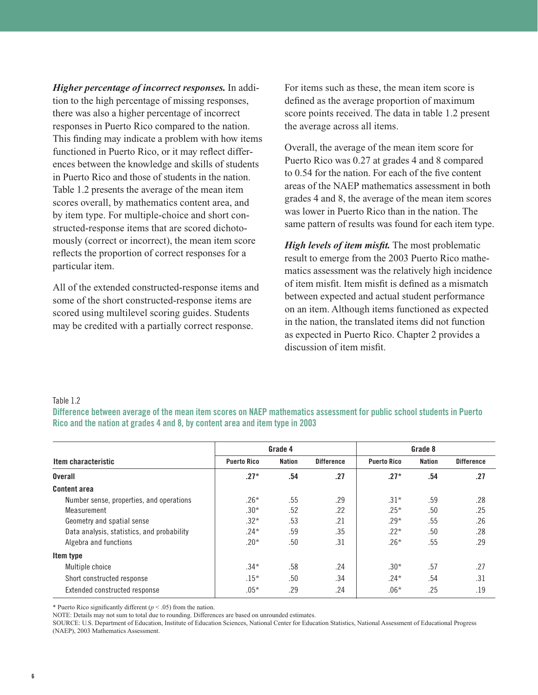*Higher percentage of incorrect responses.* In addition to the high percentage of missing responses, there was also a higher percentage of incorrect responses in Puerto Rico compared to the nation. This finding may indicate a problem with how items functioned in Puerto Rico, or it may reflect differences between the knowledge and skills of students in Puerto Rico and those of students in the nation. Table 1.2 presents the average of the mean item scores overall, by mathematics content area, and by item type. For multiple-choice and short constructed-response items that are scored dichotomously (correct or incorrect), the mean item score reflects the proportion of correct responses for a particular item.

All of the extended constructed-response items and some of the short constructed-response items are scored using multilevel scoring guides. Students may be credited with a partially correct response.

For items such as these, the mean item score is defined as the average proportion of maximum score points received. The data in table 1.2 present the average across all items.

Overall, the average of the mean item score for Puerto Rico was 0.27 at grades 4 and 8 compared to 0.54 for the nation. For each of the five content areas of the NAEP mathematics assessment in both grades 4 and 8, the average of the mean item scores was lower in Puerto Rico than in the nation. The same pattern of results was found for each item type.

*High levels of item misfit.* The most problematic result to emerge from the 2003 Puerto Rico mathematics assessment was the relatively high incidence of item misfit. Item misfit is defined as a mismatch between expected and actual student performance on an item. Although items functioned as expected in the nation, the translated items did not function as expected in Puerto Rico. Chapter 2 provides a discussion of item misfit.

#### Table 1.2

**Difference between average of the mean item scores on NAEP mathematics assessment for public school students in Puerto Rico and the nation at grades 4 and 8, by content area and item type in 2003**

|                                            |                    | Grade 4       |                   | Grade 8            |               |                   |
|--------------------------------------------|--------------------|---------------|-------------------|--------------------|---------------|-------------------|
| Item characteristic                        | <b>Puerto Rico</b> | <b>Nation</b> | <b>Difference</b> | <b>Puerto Rico</b> | <b>Nation</b> | <b>Difference</b> |
| <b>Overall</b>                             | $.27*$             | .54           | .27               | $.27*$             | .54           | .27               |
| <b>Content area</b>                        |                    |               |                   |                    |               |                   |
| Number sense, properties, and operations   | $.26*$             | .55           | .29               | $.31*$             | .59           | .28               |
| Measurement                                | $.30*$             | .52           | .22               | $.25*$             | .50           | .25               |
| Geometry and spatial sense                 | $.32*$             | .53           | .21               | $.29*$             | .55           | .26               |
| Data analysis, statistics, and probability | $.24*$             | .59           | .35               | $.22*$             | .50           | .28               |
| Algebra and functions                      | .20*               | .50           | .31               | $.26*$             | .55           | .29               |
| Item type                                  |                    |               |                   |                    |               |                   |
| Multiple choice                            | $.34*$             | .58           | .24               | $.30*$             | .57           | .27               |
| Short constructed response                 | $.15*$             | .50           | .34               | $.24*$             | .54           | .31               |
| Extended constructed response              | $.05*$             | .29           | .24               | $.06*$             | .25           | .19               |

\* Puerto Rico significantly different ( $p < .05$ ) from the nation.

NOTE: Details may not sum to total due to rounding. Differences are based on unrounded estimates.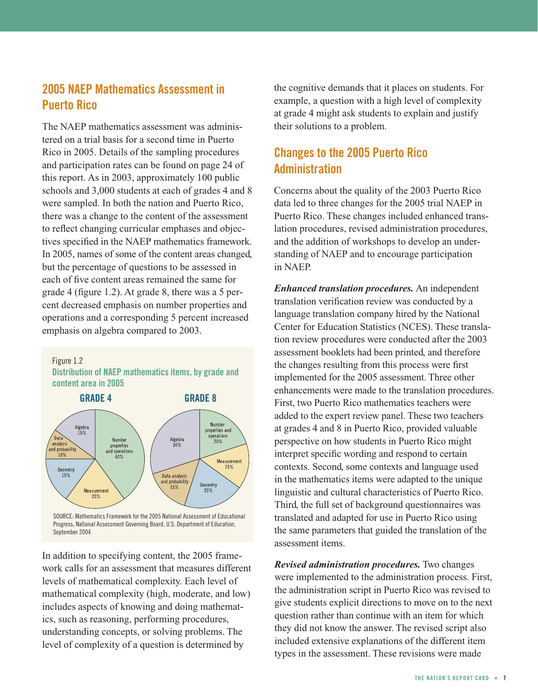## **2005 NAEP Mathematics Assessment in Puerto Rico**

The NAEP mathematics assessment was administered on a trial basis for a second time in Puerto Rico in 2005. Details of the sampling procedures and participation rates can be found on page 24 of this report. As in 2003, approximately 100 public schools and 3,000 students at each of grades 4 and 8 were sampled. In both the nation and Puerto Rico, there was a change to the content of the assessment to reflect changing curricular emphases and objectives specified in the NAEP mathematics framework. In 2005, names of some of the content areas changed, but the percentage of questions to be assessed in each of five content areas remained the same for grade 4 (figure 1.2). At grade 8, there was a 5 percent decreased emphasis on number properties and operations and a corresponding 5 percent increased emphasis on algebra compared to 2003.



Figure 1.2

Progress, National Assessment Governing Board, U.S. Department of Education, Sentember 2004

In addition to specifying content, the 2005 framework calls for an assessment that measures different levels of mathematical complexity. Each level of mathematical complexity (high, moderate, and low) includes aspects of knowing and doing mathematics, such as reasoning, performing procedures, understanding concepts, or solving problems. The level of complexity of a question is determined by

the cognitive demands that it places on students. For example, a question with a high level of complexity at grade 4 might ask students to explain and justify their solutions to a problem.

## **Changes to the 2005 Puerto Rico Administration**

Concerns about the quality of the 2003 Puerto Rico data led to three changes for the 2005 trial NAEP in Puerto Rico. These changes included enhanced translation procedures, revised administration procedures, and the addition of workshops to develop an understanding of NAEP and to encourage participation in NAEP.

*Enhanced translation procedures.* An independent translation verification review was conducted by a language translation company hired by the National Center for Education Statistics (NCES). These translation review procedures were conducted after the 2003 assessment booklets had been printed, and therefore the changes resulting from this process were first implemented for the 2005 assessment. Three other enhancements were made to the translation procedures. First, two Puerto Rico mathematics teachers were added to the expert review panel. These two teachers at grades 4 and 8 in Puerto Rico, provided valuable perspective on how students in Puerto Rico might interpret specific wording and respond to certain contexts. Second, some contexts and language used in the mathematics items were adapted to the unique linguistic and cultural characteristics of Puerto Rico. Third, the full set of background questionnaires was translated and adapted for use in Puerto Rico using the same parameters that guided the translation of the assessment items.

*Revised administration procedures.* Two changes were implemented to the administration process. First, the administration script in Puerto Rico was revised to give students explicit directions to move on to the next question rather than continue with an item for which they did not know the answer. The revised script also included extensive explanations of the different item types in the assessment. These revisions were made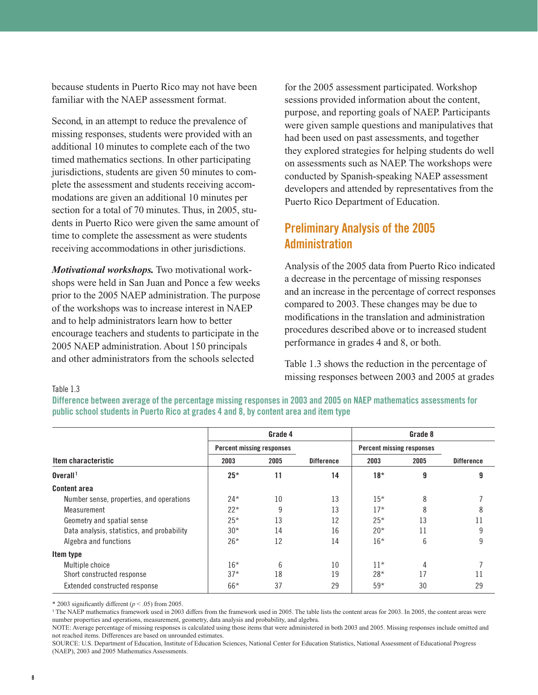because students in Puerto Rico may not have been familiar with the NAEP assessment format.

Second, in an attempt to reduce the prevalence of missing responses, students were provided with an additional 10 minutes to complete each of the two timed mathematics sections. In other participating jurisdictions, students are given 50 minutes to complete the assessment and students receiving accommodations are given an additional 10 minutes per section for a total of 70 minutes. Thus, in 2005, students in Puerto Rico were given the same amount of time to complete the assessment as were students receiving accommodations in other jurisdictions.

*Motivational workshops.* Two motivational workshops were held in San Juan and Ponce a few weeks prior to the 2005 NAEP administration. The purpose of the workshops was to increase interest in NAEP and to help administrators learn how to better encourage teachers and students to participate in the 2005 NAEP administration. About 150 principals and other administrators from the schools selected

for the 2005 assessment participated. Workshop sessions provided information about the content, purpose, and reporting goals of NAEP. Participants were given sample questions and manipulatives that had been used on past assessments, and together they explored strategies for helping students do well on assessments such as NAEP. The workshops were conducted by Spanish-speaking NAEP assessment developers and attended by representatives from the Puerto Rico Department of Education.

## **Preliminary Analysis of the 2005 Administration**

Analysis of the 2005 data from Puerto Rico indicated a decrease in the percentage of missing responses and an increase in the percentage of correct responses compared to 2003. These changes may be due to modifications in the translation and administration procedures described above or to increased student performance in grades 4 and 8, or both.

Table 1.3 shows the reduction in the percentage of missing responses between 2003 and 2005 at grades

#### Table 1.3

**Difference between average of the percentage missing responses in 2003 and 2005 on NAEP mathematics assessments for public school students in Puerto Rico at grades 4 and 8, by content area and item type**

|                                            |       | Grade 4                          |                   |       | Grade 8                          |                   |
|--------------------------------------------|-------|----------------------------------|-------------------|-------|----------------------------------|-------------------|
|                                            |       | <b>Percent missing responses</b> |                   |       | <b>Percent missing responses</b> |                   |
| Item characteristic                        | 2003  | 2005                             | <b>Difference</b> | 2003  | 2005                             | <b>Difference</b> |
| $0$ verall $1$                             | $25*$ | 11                               | 14                | $18*$ | 9                                | 9                 |
| <b>Content area</b>                        |       |                                  |                   |       |                                  |                   |
| Number sense, properties, and operations   | $24*$ | 10                               | 13                | $15*$ | 8                                |                   |
| Measurement                                | $22*$ | 9                                | 13                | $17*$ | 8                                | 8                 |
| Geometry and spatial sense                 | $25*$ | 13                               | 12                | $25*$ | 13                               |                   |
| Data analysis, statistics, and probability | $30*$ | 14                               | 16                | $20*$ | 11                               | 9                 |
| Algebra and functions                      | $26*$ | 12                               | 14                | $16*$ | 6                                | 9                 |
| Item type                                  |       |                                  |                   |       |                                  |                   |
| Multiple choice                            | $16*$ | 6                                | 10                | $11*$ | 4                                |                   |
| Short constructed response                 | $37*$ | 18                               | 19                | $28*$ | 17                               |                   |
| Extended constructed response              | $66*$ | 37                               | 29                | $59*$ | 30                               | 29                |

\* 2003 significantly different  $(p < .05)$  from 2005.

<sup>1</sup> The NAEP mathematics framework used in 2003 differs from the framework used in 2005. The table lists the content areas for 2003. In 2005, the content areas were number properties and operations, measurement, geometry, data analysis and probability, and algebra.

NOTE: Average percentage of missing responses is calculated using those items that were administered in both 2003 and 2005. Missing responses include omitted and not reached items. Differences are based on unrounded estimates.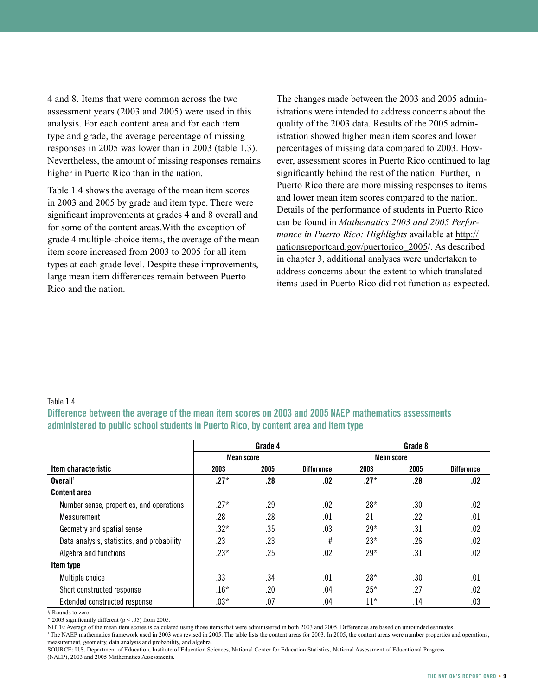4 and 8. Items that were common across the two assessment years (2003 and 2005) were used in this analysis. For each content area and for each item type and grade, the average percentage of missing responses in 2005 was lower than in 2003 (table 1.3). Nevertheless, the amount of missing responses remains higher in Puerto Rico than in the nation.

Table 1.4 shows the average of the mean item scores in 2003 and 2005 by grade and item type. There were significant improvements at grades 4 and 8 overall and for some of the content areas.With the exception of grade 4 multiple-choice items, the average of the mean item score increased from 2003 to 2005 for all item types at each grade level. Despite these improvements, large mean item differences remain between Puerto Rico and the nation.

The changes made between the 2003 and 2005 administrations were intended to address concerns about the quality of the 2003 data. Results of the 2005 administration showed higher mean item scores and lower percentages of missing data compared to 2003. However, assessment scores in Puerto Rico continued to lag significantly behind the rest of the nation. Further, in Puerto Rico there are more missing responses to items and lower mean item scores compared to the nation. Details of the performance of students in Puerto Rico can be found in *Mathematics 2003 and 2005 Performance in Puerto Rico: Highlights* available at http:// nationsreportcard.gov/puertorico\_2005/. As described in chapter 3, additional analyses were undertaken to address concerns about the extent to which translated items used in Puerto Rico did not function as expected.

#### Table 1.4

**Difference between the average of the mean item scores on 2003 and 2005 NAEP mathematics assessments administered to public school students in Puerto Rico, by content area and item type**

|                                            | Grade 4    |      |                   |            | Grade 8 |                   |
|--------------------------------------------|------------|------|-------------------|------------|---------|-------------------|
|                                            | Mean score |      |                   | Mean score |         |                   |
| Item characteristic                        | 2003       | 2005 | <b>Difference</b> | 2003       | 2005    | <b>Difference</b> |
| Overall <sup>1</sup>                       | $.27*$     | .28  | .02               | $.27*$     | .28     | .02               |
| <b>Content area</b>                        |            |      |                   |            |         |                   |
| Number sense, properties, and operations   | $.27*$     | .29  | .02               | $.28*$     | .30     | .02               |
| Measurement                                | .28        | .28  | .01               | .21        | .22     | .01               |
| Geometry and spatial sense                 | $.32*$     | .35  | .03               | $.29*$     | .31     | .02               |
| Data analysis, statistics, and probability | .23        | .23  | #                 | $.23*$     | .26     | .02               |
| Algebra and functions                      | $.23*$     | .25  | .02               | $.29*$     | .31     | .02               |
| Item type                                  |            |      |                   |            |         |                   |
| Multiple choice                            | .33        | .34  | .01               | .28*       | .30     | .01               |
| Short constructed response                 | $.16*$     | .20  | .04               | $.25*$     | .27     | .02               |
| Extended constructed response              | $.03*$     | .07  | .04               | $.11*$     | .14     | .03               |

# Rounds to zero.

\* 2003 significantly different (p < .05) from 2005.

NOTE: Average of the mean item scores is calculated using those items that were administered in both 2003 and 2005. Differences are based on unrounded estimates.

<sup>1</sup> The NAEP mathematics framework used in 2003 was revised in 2005. The table lists the content areas for 2003. In 2005, the content areas were number properties and operations, measurement, geometry, data analysis and probability, and algebra.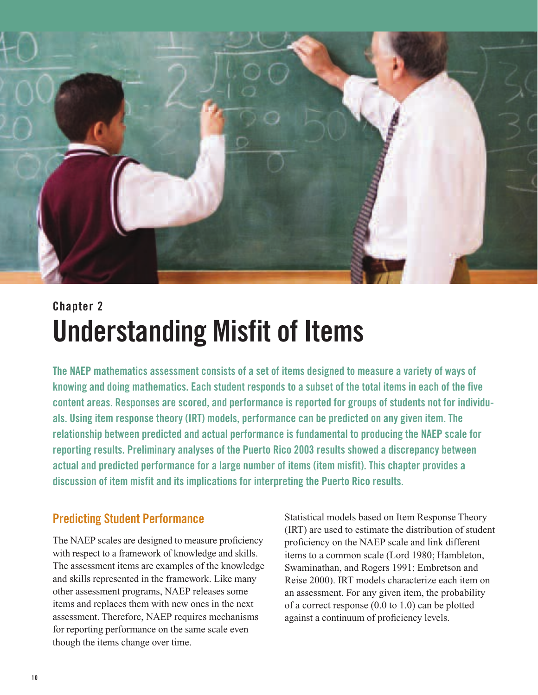

## **Chapter 2 Understanding Misfit of Items**

**The NAEP mathematics assessment consists of a set of items designed to measure a variety of ways of knowing and doing mathematics. Each student responds to a subset of the total items in each of the five content areas. Responses are scored, and performance is reported for groups of students not for individuals. Using item response theory (IRT) models, performance can be predicted on any given item. The relationship between predicted and actual performance is fundamental to producing the NAEP scale for reporting results. Preliminary analyses of the Puerto Rico 2003 results showed a discrepancy between actual and predicted performance for a large number of items (item misfit). This chapter provides a discussion of item misfit and its implications for interpreting the Puerto Rico results.**

## **Predicting Student Performance**

The NAEP scales are designed to measure proficiency with respect to a framework of knowledge and skills. The assessment items are examples of the knowledge and skills represented in the framework. Like many other assessment programs, NAEP releases some items and replaces them with new ones in the next assessment. Therefore, NAEP requires mechanisms for reporting performance on the same scale even though the items change over time.

Statistical models based on Item Response Theory (IRT) are used to estimate the distribution of student proficiency on the NAEP scale and link different items to a common scale (Lord 1980; Hambleton, Swaminathan, and Rogers 1991; Embretson and Reise 2000). IRT models characterize each item on an assessment. For any given item, the probability of a correct response (0.0 to 1.0) can be plotted against a continuum of proficiency levels.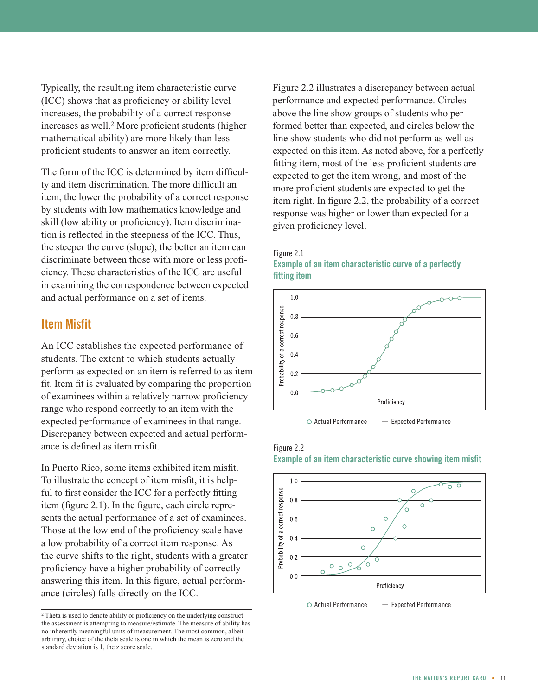Typically, the resulting item characteristic curve (ICC) shows that as proficiency or ability level increases, the probability of a correct response increases as well.2 More proficient students (higher mathematical ability) are more likely than less proficient students to answer an item correctly.

The form of the ICC is determined by item difficulty and item discrimination. The more difficult an item, the lower the probability of a correct response by students with low mathematics knowledge and skill (low ability or proficiency). Item discrimination is reflected in the steepness of the ICC. Thus, the steeper the curve (slope), the better an item can discriminate between those with more or less proficiency. These characteristics of the ICC are useful in examining the correspondence between expected and actual performance on a set of items.

## **Item Misfit**

An ICC establishes the expected performance of students. The extent to which students actually perform as expected on an item is referred to as item fit. Item fit is evaluated by comparing the proportion of examinees within a relatively narrow proficiency range who respond correctly to an item with the expected performance of examinees in that range. Discrepancy between expected and actual performance is defined as item misfit.

In Puerto Rico, some items exhibited item misfit. To illustrate the concept of item misfit, it is helpful to first consider the ICC for a perfectly fitting item (figure 2.1). In the figure, each circle represents the actual performance of a set of examinees. Those at the low end of the proficiency scale have a low probability of a correct item response. As the curve shifts to the right, students with a greater proficiency have a higher probability of correctly answering this item. In this figure, actual performance (circles) falls directly on the ICC.

<sup>2</sup> Theta is used to denote ability or proficiency on the underlying construct the assessment is attempting to measure/estimate. The measure of ability has no inherently meaningful units of measurement. The most common, albeit arbitrary, choice of the theta scale is one in which the mean is zero and the standard deviation is 1, the z score scale.

Figure 2.2 illustrates a discrepancy between actual performance and expected performance. Circles above the line show groups of students who performed better than expected, and circles below the line show students who did not perform as well as expected on this item. As noted above, for a perfectly fitting item, most of the less proficient students are expected to get the item wrong, and most of the more proficient students are expected to get the item right. In figure 2.2, the probability of a correct response was higher or lower than expected for a given proficiency level.



**Example of an item characteristic curve of a perfectly**

Figure 2.1

 $\circ$  Actual Performance  $\qquad$  - Expected Performance





 $\circ$  Actual Performance  $\qquad -$  Expected Performance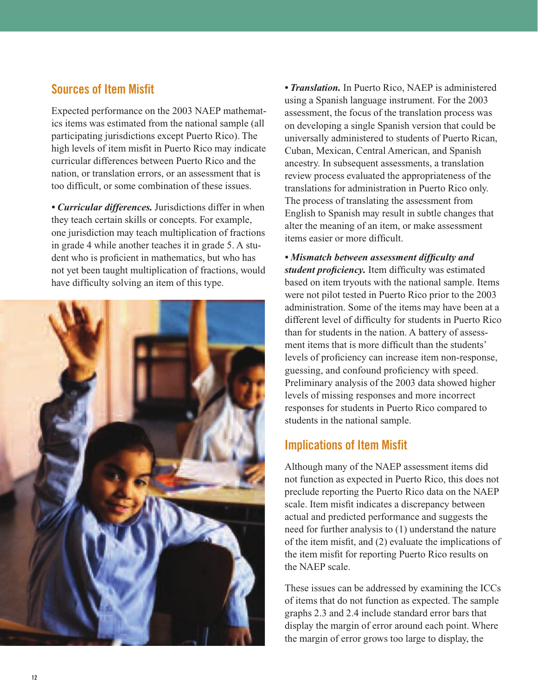## **Sources of Item Misfit**

Expected performance on the 2003 NAEP mathematics items was estimated from the national sample (all participating jurisdictions except Puerto Rico). The high levels of item misfit in Puerto Rico may indicate curricular differences between Puerto Rico and the nation, or translation errors, or an assessment that is too difficult, or some combination of these issues.

*• Curricular differences.* Jurisdictions differ in when they teach certain skills or concepts. For example, one jurisdiction may teach multiplication of fractions in grade 4 while another teaches it in grade 5. A student who is proficient in mathematics, but who has not yet been taught multiplication of fractions, would have difficulty solving an item of this type.



*• Translation.* In Puerto Rico, NAEP is administered using a Spanish language instrument. For the 2003 assessment, the focus of the translation process was on developing a single Spanish version that could be universally administered to students of Puerto Rican, Cuban, Mexican, Central American, and Spanish ancestry. In subsequent assessments, a translation review process evaluated the appropriateness of the translations for administration in Puerto Rico only. The process of translating the assessment from English to Spanish may result in subtle changes that alter the meaning of an item, or make assessment items easier or more difficult.

*• Mismatch between assessment difficulty and student proficiency.* Item difficulty was estimated based on item tryouts with the national sample. Items were not pilot tested in Puerto Rico prior to the 2003 administration. Some of the items may have been at a different level of difficulty for students in Puerto Rico than for students in the nation. A battery of assessment items that is more difficult than the students' levels of proficiency can increase item non-response, guessing, and confound proficiency with speed. Preliminary analysis of the 2003 data showed higher levels of missing responses and more incorrect responses for students in Puerto Rico compared to students in the national sample.

## **Implications of Item Misfit**

Although many of the NAEP assessment items did not function as expected in Puerto Rico, this does not preclude reporting the Puerto Rico data on the NAEP scale. Item misfit indicates a discrepancy between actual and predicted performance and suggests the need for further analysis to (1) understand the nature of the item misfit, and (2) evaluate the implications of the item misfit for reporting Puerto Rico results on the NAEP scale.

These issues can be addressed by examining the ICCs of items that do not function as expected. The sample graphs 2.3 and 2.4 include standard error bars that display the margin of error around each point. Where the margin of error grows too large to display, the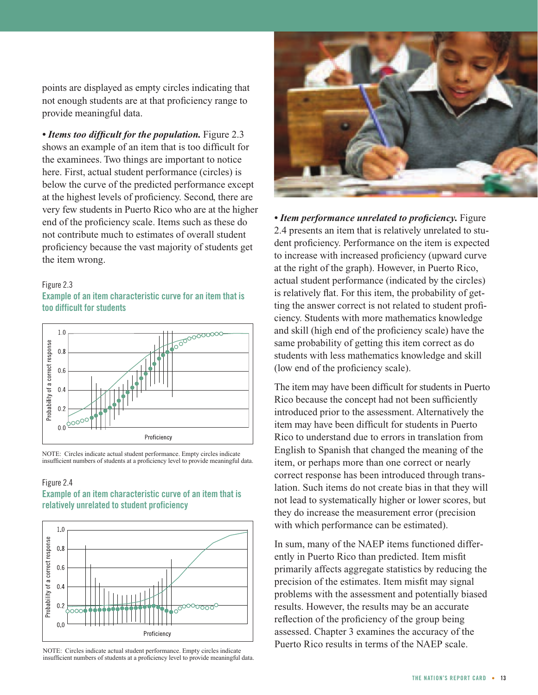points are displayed as empty circles indicating that not enough students are at that proficiency range to provide meaningful data.

*• Items too difficult for the population.* Figure 2.3 shows an example of an item that is too difficult for the examinees. Two things are important to notice here. First, actual student performance (circles) is below the curve of the predicted performance except at the highest levels of proficiency. Second, there are very few students in Puerto Rico who are at the higher end of the proficiency scale. Items such as these do not contribute much to estimates of overall student proficiency because the vast majority of students get the item wrong.

#### Figure 2.3

**Example of an item characteristic curve for an item that is too difficult for students**



NOTE: Circles indicate actual student performance. Empty circles indicate insufficient numbers of students at a proficiency level to provide meaningful data.

#### Figure 2.4

#### **Example of an item characteristic curve of an item that is relatively unrelated to student proficiency**



NOTE: Circles indicate actual student performance. Empty circles indicate insufficient numbers of students at a proficiency level to provide meaningful data.



*• Item performance unrelated to proficiency.* Figure 2.4 presents an item that is relatively unrelated to student proficiency. Performance on the item is expected to increase with increased proficiency (upward curve at the right of the graph). However, in Puerto Rico, actual student performance (indicated by the circles) is relatively flat. For this item, the probability of getting the answer correct is not related to student proficiency. Students with more mathematics knowledge and skill (high end of the proficiency scale) have the same probability of getting this item correct as do students with less mathematics knowledge and skill (low end of the proficiency scale).

The item may have been difficult for students in Puerto Rico because the concept had not been sufficiently introduced prior to the assessment. Alternatively the item may have been difficult for students in Puerto Rico to understand due to errors in translation from English to Spanish that changed the meaning of the item, or perhaps more than one correct or nearly correct response has been introduced through translation. Such items do not create bias in that they will not lead to systematically higher or lower scores, but they do increase the measurement error (precision with which performance can be estimated).

In sum, many of the NAEP items functioned differently in Puerto Rico than predicted. Item misfit primarily affects aggregate statistics by reducing the precision of the estimates. Item misfit may signal problems with the assessment and potentially biased results. However, the results may be an accurate reflection of the proficiency of the group being assessed. Chapter 3 examines the accuracy of the Puerto Rico results in terms of the NAEP scale.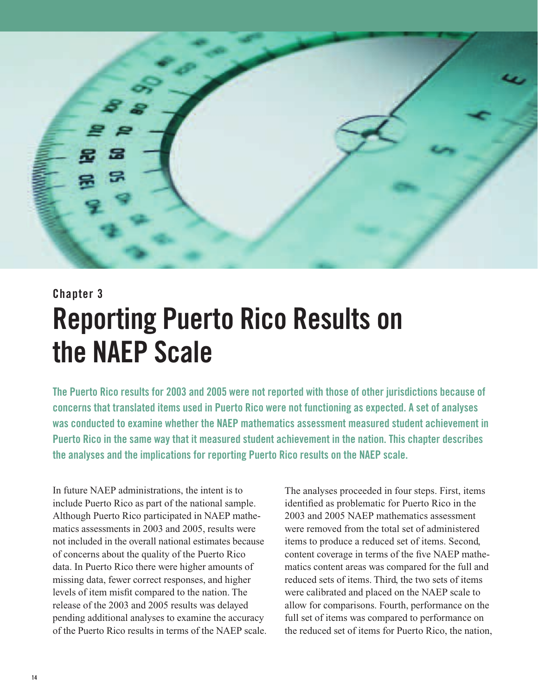

## **Chapter 3 Reporting Puerto Rico Results on the NAEP Scale**

**The Puerto Rico results for 2003 and 2005 were not reported with those of other jurisdictions because of concerns that translated items used in Puerto Rico were not functioning as expected. A set of analyses was conducted to examine whether the NAEP mathematics assessment measured student achievement in Puerto Rico in the same way that it measured student achievement in the nation. This chapter describes the analyses and the implications for reporting Puerto Rico results on the NAEP scale.**

In future NAEP administrations, the intent is to include Puerto Rico as part of the national sample. Although Puerto Rico participated in NAEP mathematics assessments in 2003 and 2005, results were not included in the overall national estimates because of concerns about the quality of the Puerto Rico data. In Puerto Rico there were higher amounts of missing data, fewer correct responses, and higher levels of item misfit compared to the nation. The release of the 2003 and 2005 results was delayed pending additional analyses to examine the accuracy of the Puerto Rico results in terms of the NAEP scale.

The analyses proceeded in four steps. First, items identified as problematic for Puerto Rico in the 2003 and 2005 NAEP mathematics assessment were removed from the total set of administered items to produce a reduced set of items. Second, content coverage in terms of the five NAEP mathematics content areas was compared for the full and reduced sets of items. Third, the two sets of items were calibrated and placed on the NAEP scale to allow for comparisons. Fourth, performance on the full set of items was compared to performance on the reduced set of items for Puerto Rico, the nation,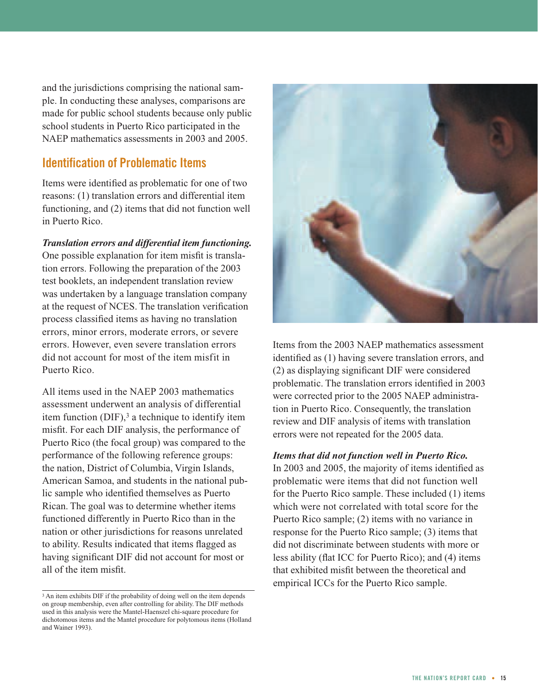and the jurisdictions comprising the national sample. In conducting these analyses, comparisons are made for public school students because only public school students in Puerto Rico participated in the NAEP mathematics assessments in 2003 and 2005.

## **Identification of Problematic Items**

Items were identified as problematic for one of two reasons: (1) translation errors and differential item functioning, and (2) items that did not function well in Puerto Rico.

#### *Translation errors and differential item functioning.*

One possible explanation for item misfit is translation errors. Following the preparation of the 2003 test booklets, an independent translation review was undertaken by a language translation company at the request of NCES. The translation verification process classified items as having no translation errors, minor errors, moderate errors, or severe errors. However, even severe translation errors did not account for most of the item misfit in Puerto Rico.

All items used in the NAEP 2003 mathematics assessment underwent an analysis of differential item function  $(DIF)$ ,<sup>3</sup> a technique to identify item misfit. For each DIF analysis, the performance of Puerto Rico (the focal group) was compared to the performance of the following reference groups: the nation, District of Columbia, Virgin Islands, American Samoa, and students in the national public sample who identified themselves as Puerto Rican. The goal was to determine whether items functioned differently in Puerto Rico than in the nation or other jurisdictions for reasons unrelated to ability. Results indicated that items flagged as having significant DIF did not account for most or all of the item misfit.



Items from the 2003 NAEP mathematics assessment identified as (1) having severe translation errors, and (2) as displaying significant DIF were considered problematic. The translation errors identified in 2003 were corrected prior to the 2005 NAEP administration in Puerto Rico. Consequently, the translation review and DIF analysis of items with translation errors were not repeated for the 2005 data.

#### *Items that did not function well in Puerto Rico.*

In 2003 and 2005, the majority of items identified as problematic were items that did not function well for the Puerto Rico sample. These included (1) items which were not correlated with total score for the Puerto Rico sample; (2) items with no variance in response for the Puerto Rico sample; (3) items that did not discriminate between students with more or less ability (flat ICC for Puerto Rico); and (4) items that exhibited misfit between the theoretical and empirical ICCs for the Puerto Rico sample.

<sup>&</sup>lt;sup>3</sup> An item exhibits DIF if the probability of doing well on the item depends on group membership, even after controlling for ability. The DIF methods used in this analysis were the Mantel-Haenszel chi-square procedure for dichotomous items and the Mantel procedure for polytomous items (Holland and Wainer 1993).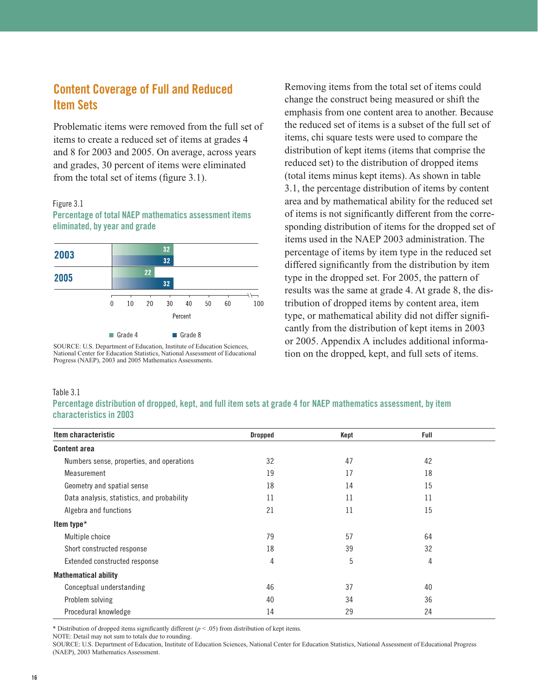## **Content Coverage of Full and Reduced Item Sets**

Problematic items were removed from the full set of items to create a reduced set of items at grades 4 and 8 for 2003 and 2005. On average, across years and grades, 30 percent of items were eliminated from the total set of items (figure 3.1).

#### Figure 3.1

**Percentage of total NAEP mathematics assessment items eliminated, by year and grade**



SOURCE: U.S. Department of Education, Institute of Education Sciences, National Center for Education Statistics, National Assessment of Educational Progress (NAEP), 2003 and 2005 Mathematics Assessments.

Removing items from the total set of items could change the construct being measured or shift the emphasis from one content area to another. Because the reduced set of items is a subset of the full set of items, chi square tests were used to compare the distribution of kept items (items that comprise the reduced set) to the distribution of dropped items (total items minus kept items). As shown in table 3.1, the percentage distribution of items by content area and by mathematical ability for the reduced set of items is not significantly different from the corresponding distribution of items for the dropped set of items used in the NAEP 2003 administration. The percentage of items by item type in the reduced set differed significantly from the distribution by item type in the dropped set. For 2005, the pattern of results was the same at grade 4. At grade 8, the distribution of dropped items by content area, item type, or mathematical ability did not differ significantly from the distribution of kept items in 2003 or 2005. Appendix A includes additional information on the dropped, kept, and full sets of items.

#### Table 3.1

**Percentage distribution of dropped, kept, and full item sets at grade 4 for NAEP mathematics assessment, by item characteristics in 2003**

| Item characteristic                        | <b>Dropped</b> | Kept | Full |  |
|--------------------------------------------|----------------|------|------|--|
| <b>Content area</b>                        |                |      |      |  |
| Numbers sense, properties, and operations  | 32             | 47   | 42   |  |
| Measurement                                | 19             | 17   | 18   |  |
| Geometry and spatial sense                 | 18             | 14   | 15   |  |
| Data analysis, statistics, and probability | 11             | 11   | 11   |  |
| Algebra and functions                      | 21             | 11   | 15   |  |
| Item type*                                 |                |      |      |  |
| Multiple choice                            | 79             | 57   | 64   |  |
| Short constructed response                 | 18             | 39   | 32   |  |
| Extended constructed response              | 4              | 5    | 4    |  |
| <b>Mathematical ability</b>                |                |      |      |  |
| Conceptual understanding                   | 46             | 37   | 40   |  |
| Problem solving                            | 40             | 34   | 36   |  |
| Procedural knowledge                       | 14             | 29   | 24   |  |

\* Distribution of dropped items significantly different  $(p < .05)$  from distribution of kept items.

NOTE: Detail may not sum to totals due to rounding.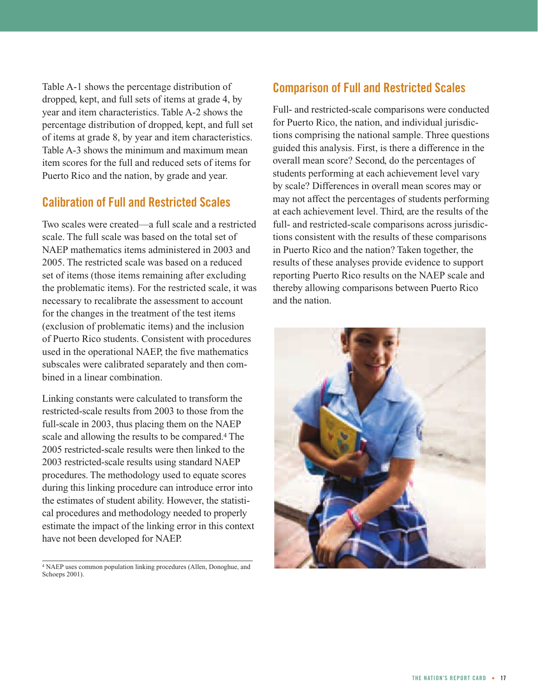Table A-1 shows the percentage distribution of dropped, kept, and full sets of items at grade 4, by year and item characteristics. Table A-2 shows the percentage distribution of dropped, kept, and full set of items at grade 8, by year and item characteristics. Table A-3 shows the minimum and maximum mean item scores for the full and reduced sets of items for Puerto Rico and the nation, by grade and year.

## **Calibration of Full and Restricted Scales**

Two scales were created—a full scale and a restricted scale. The full scale was based on the total set of NAEP mathematics items administered in 2003 and 2005. The restricted scale was based on a reduced set of items (those items remaining after excluding the problematic items). For the restricted scale, it was necessary to recalibrate the assessment to account for the changes in the treatment of the test items (exclusion of problematic items) and the inclusion of Puerto Rico students. Consistent with procedures used in the operational NAEP, the five mathematics subscales were calibrated separately and then combined in a linear combination.

Linking constants were calculated to transform the restricted-scale results from 2003 to those from the full-scale in 2003, thus placing them on the NAEP scale and allowing the results to be compared.4 The 2005 restricted-scale results were then linked to the 2003 restricted-scale results using standard NAEP procedures. The methodology used to equate scores during this linking procedure can introduce error into the estimates of student ability. However, the statistical procedures and methodology needed to properly estimate the impact of the linking error in this context have not been developed for NAEP.

<sup>4</sup> NAEP uses common population linking procedures (Allen, Donoghue, and Schoeps 2001).

## **Comparison of Full and Restricted Scales**

Full- and restricted-scale comparisons were conducted for Puerto Rico, the nation, and individual jurisdictions comprising the national sample. Three questions guided this analysis. First, is there a difference in the overall mean score? Second, do the percentages of students performing at each achievement level vary by scale? Differences in overall mean scores may or may not affect the percentages of students performing at each achievement level. Third, are the results of the full- and restricted-scale comparisons across jurisdictions consistent with the results of these comparisons in Puerto Rico and the nation? Taken together, the results of these analyses provide evidence to support reporting Puerto Rico results on the NAEP scale and thereby allowing comparisons between Puerto Rico and the nation.

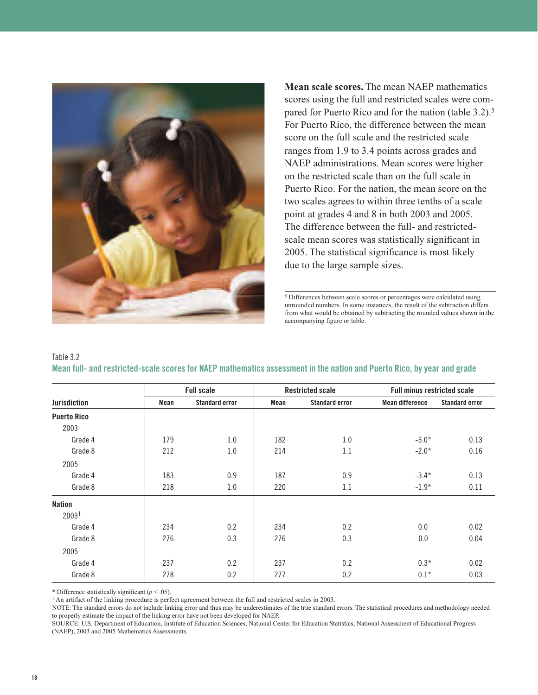

**Mean scale scores.** The mean NAEP mathematics scores using the full and restricted scales were compared for Puerto Rico and for the nation (table 3.2).<sup>5</sup> For Puerto Rico, the difference between the mean score on the full scale and the restricted scale ranges from 1.9 to 3.4 points across grades and NAEP administrations. Mean scores were higher on the restricted scale than on the full scale in Puerto Rico. For the nation, the mean score on the two scales agrees to within three tenths of a scale point at grades 4 and 8 in both 2003 and 2005. The difference between the full- and restrictedscale mean scores was statistically significant in 2005. The statistical significance is most likely due to the large sample sizes.

<sup>5</sup> Differences between scale scores or percentages were calculated using unrounded numbers. In some instances, the result of the subtraction differs from what would be obtained by subtracting the rounded values shown in the accompanying figure or table.

| Table 3.2 |                                                                                                                         |  |  |  |  |
|-----------|-------------------------------------------------------------------------------------------------------------------------|--|--|--|--|
|           | Mean full- and restricted-scale scores for NAEP mathematics assessment in the nation and Puerto Rico, by year and grade |  |  |  |  |

|                     | <b>Full scale</b><br><b>Restricted scale</b> |                       |      |                       | <b>Full minus restricted scale</b> |                       |
|---------------------|----------------------------------------------|-----------------------|------|-----------------------|------------------------------------|-----------------------|
| <b>Jurisdiction</b> | Mean                                         | <b>Standard error</b> | Mean | <b>Standard error</b> | <b>Mean difference</b>             | <b>Standard error</b> |
| <b>Puerto Rico</b>  |                                              |                       |      |                       |                                    |                       |
| 2003                |                                              |                       |      |                       |                                    |                       |
| Grade 4             | 179                                          | 1.0                   | 182  | 1.0                   | $-3.0*$                            | 0.13                  |
| Grade 8             | 212                                          | 1.0                   | 214  | 1.1                   | $-2.0*$                            | 0.16                  |
| 2005                |                                              |                       |      |                       |                                    |                       |
| Grade 4             | 183                                          | 0.9                   | 187  | 0.9                   | $-3.4*$                            | 0.13                  |
| Grade 8             | 218                                          | 1.0                   | 220  | 1.1                   | $-1.9*$                            | 0.11                  |
| <b>Nation</b>       |                                              |                       |      |                       |                                    |                       |
| 2003 <sup>1</sup>   |                                              |                       |      |                       |                                    |                       |
| Grade 4             | 234                                          | 0.2                   | 234  | 0.2                   | 0.0                                | 0.02                  |
| Grade 8             | 276                                          | 0.3                   | 276  | 0.3                   | 0.0                                | 0.04                  |
| 2005                |                                              |                       |      |                       |                                    |                       |
| Grade 4             | 237                                          | 0.2                   | 237  | 0.2                   | $0.3*$                             | 0.02                  |
| Grade 8             | 278                                          | 0.2                   | 277  | 0.2                   | $0.1*$                             | 0.03                  |

\* Difference statistically significant (*p* < .05).

<sup>1</sup> An artifact of the linking procedure is perfect agreement between the full and restricted scales in 2003.

NOTE: The standard errors do not include linking error and thus may be underestimates of the true standard errors. The statistical procedures and methodology needed to properly estimate the impact of the linking error have not been developed for NAEP.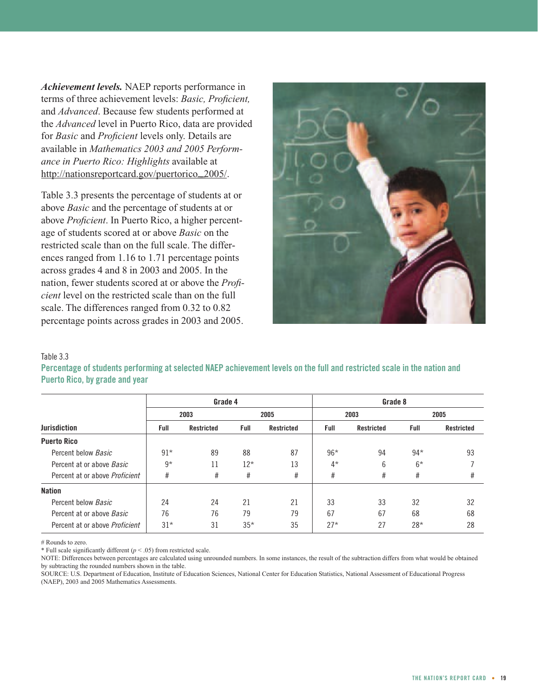*Achievement levels.* NAEP reports performance in terms of three achievement levels: *Basic, Proficient,* and *Advanced*. Because few students performed at the *Advanced* level in Puerto Rico, data are provided for *Basic* and *Proficient* levels only. Details are available in *Mathematics 2003 and 2005 Performance in Puerto Rico: Highlights* available at http://nationsreportcard.gov/puertorico\_2005/.

Table 3.3 presents the percentage of students at or above *Basic* and the percentage of students at or above *Proficient*. In Puerto Rico, a higher percentage of students scored at or above *Basic* on the restricted scale than on the full scale. The differences ranged from 1.16 to 1.71 percentage points across grades 4 and 8 in 2003 and 2005. In the nation, fewer students scored at or above the *Proficient* level on the restricted scale than on the full scale. The differences ranged from 0.32 to 0.82 percentage points across grades in 2003 and 2005.



#### Table 3.3

**Percentage of students performing at selected NAEP achievement levels on the full and restricted scale in the nation and Puerto Rico, by grade and year**

|                                       |       | Grade 4           |       |            |       | Grade 8           |       |            |  |
|---------------------------------------|-------|-------------------|-------|------------|-------|-------------------|-------|------------|--|
|                                       | 2003  |                   |       | 2005       |       | 2003              |       | 2005       |  |
| <b>Jurisdiction</b>                   | Full  | <b>Restricted</b> | Full  | Restricted | Full  | <b>Restricted</b> | Full  | Restricted |  |
| <b>Puerto Rico</b>                    |       |                   |       |            |       |                   |       |            |  |
| Percent below <i>Basic</i>            | $91*$ | 89                | 88    | 87         | $96*$ | 94                | $94*$ | 93         |  |
| Percent at or above <i>Basic</i>      | $9*$  | 11                | $12*$ | 13         | $4^*$ | 6                 | $6*$  |            |  |
| Percent at or above <i>Proficient</i> | #     | #                 | #     | #          | #     | #                 | #     | #          |  |
| <b>Nation</b>                         |       |                   |       |            |       |                   |       |            |  |
| Percent below Basic                   | 24    | 24                | 21    | 21         | 33    | 33                | 32    | 32         |  |
| Percent at or above Basic             | 76    | 76                | 79    | 79         | 67    | 67                | 68    | 68         |  |
| Percent at or above <i>Proficient</i> | $31*$ | 31                | $35*$ | 35         | $27*$ | 27                | $28*$ | 28         |  |

# Rounds to zero.

\* Full scale significantly different (*p* < .05) from restricted scale.

NOTE: Differences between percentages are calculated using unrounded numbers. In some instances, the result of the subtraction differs from what would be obtained by subtracting the rounded numbers shown in the table.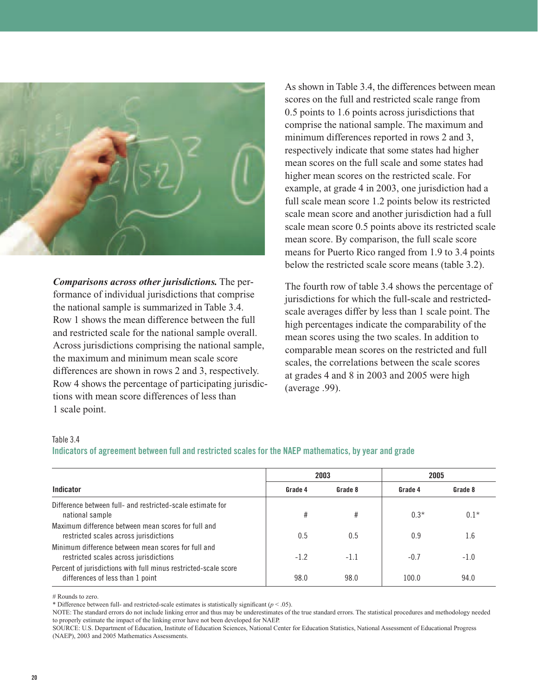

*Comparisons across other jurisdictions.* The performance of individual jurisdictions that comprise the national sample is summarized in Table 3.4. Row 1 shows the mean difference between the full and restricted scale for the national sample overall. Across jurisdictions comprising the national sample, the maximum and minimum mean scale score differences are shown in rows 2 and 3, respectively. Row 4 shows the percentage of participating jurisdictions with mean score differences of less than 1 scale point.

As shown in Table 3.4, the differences between mean scores on the full and restricted scale range from 0.5 points to 1.6 points across jurisdictions that comprise the national sample. The maximum and minimum differences reported in rows 2 and 3, respectively indicate that some states had higher mean scores on the full scale and some states had higher mean scores on the restricted scale. For example, at grade 4 in 2003, one jurisdiction had a full scale mean score 1.2 points below its restricted scale mean score and another jurisdiction had a full scale mean score 0.5 points above its restricted scale mean score. By comparison, the full scale score means for Puerto Rico ranged from 1.9 to 3.4 points below the restricted scale score means (table 3.2).

The fourth row of table 3.4 shows the percentage of jurisdictions for which the full-scale and restrictedscale averages differ by less than 1 scale point. The high percentages indicate the comparability of the mean scores using the two scales. In addition to comparable mean scores on the restricted and full scales, the correlations between the scale scores at grades 4 and 8 in 2003 and 2005 were high (average .99).

#### Table 3.4

#### **Indicators of agreement between full and restricted scales for the NAEP mathematics, by year and grade**

|                                                                                                     |         | 2003    | 2005    |         |  |
|-----------------------------------------------------------------------------------------------------|---------|---------|---------|---------|--|
| Indicator                                                                                           | Grade 4 | Grade 8 | Grade 4 | Grade 8 |  |
| Difference between full- and restricted-scale estimate for<br>national sample                       | #       | #       | $0.3*$  | $0.1*$  |  |
| Maximum difference between mean scores for full and<br>restricted scales across jurisdictions       | 0.5     | 0.5     | 0.9     | 1.6     |  |
| Minimum difference between mean scores for full and<br>restricted scales across jurisdictions       | $-1.2$  | $-1.1$  | $-0.7$  | $-1.0$  |  |
| Percent of jurisdictions with full minus restricted-scale score<br>differences of less than 1 point | 98.0    | 98.0    | 100.0   | 94.0    |  |

# Rounds to zero.

\* Difference between full- and restricted-scale estimates is statistically significant  $(p < .05)$ .

NOTE: The standard errors do not include linking error and thus may be underestimates of the true standard errors. The statistical procedures and methodology needed to properly estimate the impact of the linking error have not been developed for NAEP.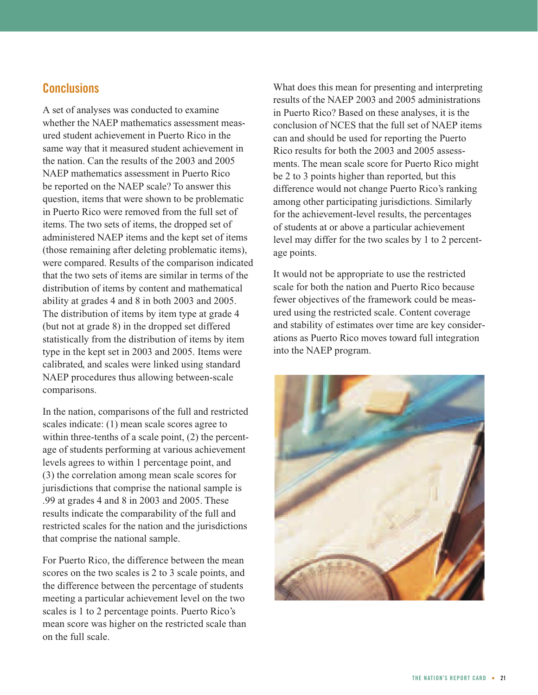## **Conclusions**

A set of analyses was conducted to examine whether the NAEP mathematics assessment measured student achievement in Puerto Rico in the same way that it measured student achievement in the nation. Can the results of the 2003 and 2005 NAEP mathematics assessment in Puerto Rico be reported on the NAEP scale? To answer this question, items that were shown to be problematic in Puerto Rico were removed from the full set of items. The two sets of items, the dropped set of administered NAEP items and the kept set of items (those remaining after deleting problematic items), were compared. Results of the comparison indicated that the two sets of items are similar in terms of the distribution of items by content and mathematical ability at grades 4 and 8 in both 2003 and 2005. The distribution of items by item type at grade 4 (but not at grade 8) in the dropped set differed statistically from the distribution of items by item type in the kept set in 2003 and 2005. Items were calibrated, and scales were linked using standard NAEP procedures thus allowing between-scale comparisons.

In the nation, comparisons of the full and restricted scales indicate: (1) mean scale scores agree to within three-tenths of a scale point, (2) the percentage of students performing at various achievement levels agrees to within 1 percentage point, and (3) the correlation among mean scale scores for jurisdictions that comprise the national sample is .99 at grades 4 and 8 in 2003 and 2005. These results indicate the comparability of the full and restricted scales for the nation and the jurisdictions that comprise the national sample.

For Puerto Rico, the difference between the mean scores on the two scales is 2 to 3 scale points, and the difference between the percentage of students meeting a particular achievement level on the two scales is 1 to 2 percentage points. Puerto Rico's mean score was higher on the restricted scale than on the full scale.

What does this mean for presenting and interpreting results of the NAEP 2003 and 2005 administrations in Puerto Rico? Based on these analyses, it is the conclusion of NCES that the full set of NAEP items can and should be used for reporting the Puerto Rico results for both the 2003 and 2005 assessments. The mean scale score for Puerto Rico might be 2 to 3 points higher than reported, but this difference would not change Puerto Rico's ranking among other participating jurisdictions. Similarly for the achievement-level results, the percentages of students at or above a particular achievement level may differ for the two scales by 1 to 2 percentage points.

It would not be appropriate to use the restricted scale for both the nation and Puerto Rico because fewer objectives of the framework could be measured using the restricted scale. Content coverage and stability of estimates over time are key considerations as Puerto Rico moves toward full integration into the NAEP program.

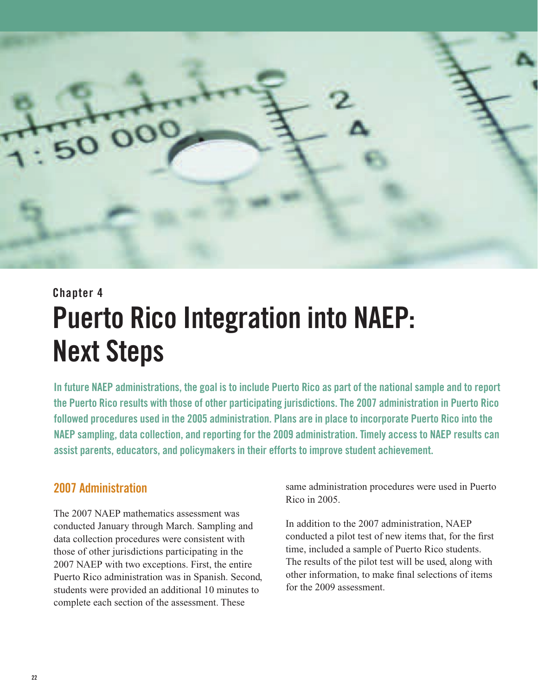

## **Chapter 4 Puerto Rico Integration into NAEP: Next Steps**

**In future NAEP administrations, the goal is to include Puerto Rico as part of the national sample and to report the Puerto Rico results with those of other participating jurisdictions. The 2007 administration in Puerto Rico followed procedures used in the 2005 administration. Plans are in place to incorporate Puerto Rico into the NAEP sampling, data collection, and reporting for the 2009 administration. Timely access to NAEP results can assist parents, educators, and policymakers in their efforts to improve student achievement.**

## **2007 Administration**

The 2007 NAEP mathematics assessment was conducted January through March. Sampling and data collection procedures were consistent with those of other jurisdictions participating in the 2007 NAEP with two exceptions. First, the entire Puerto Rico administration was in Spanish. Second, students were provided an additional 10 minutes to complete each section of the assessment. These

same administration procedures were used in Puerto Rico in 2005.

In addition to the 2007 administration, NAEP conducted a pilot test of new items that, for the first time, included a sample of Puerto Rico students. The results of the pilot test will be used, along with other information, to make final selections of items for the 2009 assessment.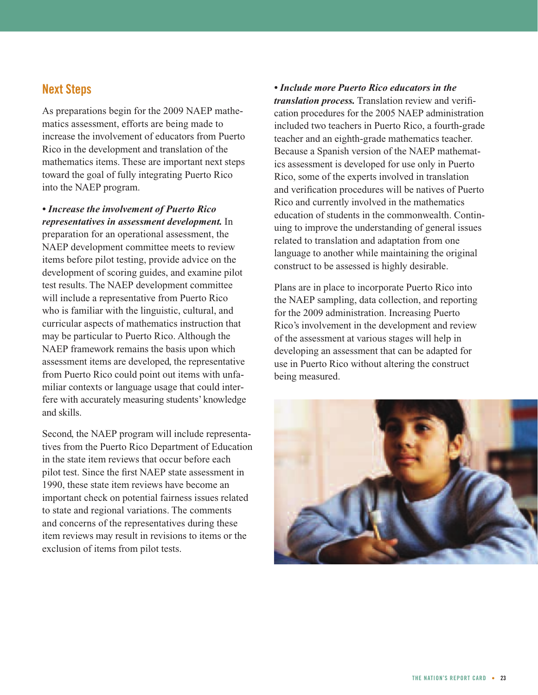## **Next Steps**

As preparations begin for the 2009 NAEP mathematics assessment, efforts are being made to increase the involvement of educators from Puerto Rico in the development and translation of the mathematics items. These are important next steps toward the goal of fully integrating Puerto Rico into the NAEP program.

*• Increase the involvement of Puerto Rico representatives in assessment development.* In preparation for an operational assessment, the NAEP development committee meets to review items before pilot testing, provide advice on the development of scoring guides, and examine pilot test results. The NAEP development committee will include a representative from Puerto Rico who is familiar with the linguistic, cultural, and curricular aspects of mathematics instruction that may be particular to Puerto Rico. Although the NAEP framework remains the basis upon which assessment items are developed, the representative from Puerto Rico could point out items with unfamiliar contexts or language usage that could interfere with accurately measuring students' knowledge and skills.

Second, the NAEP program will include representatives from the Puerto Rico Department of Education in the state item reviews that occur before each pilot test. Since the first NAEP state assessment in 1990, these state item reviews have become an important check on potential fairness issues related to state and regional variations. The comments and concerns of the representatives during these item reviews may result in revisions to items or the exclusion of items from pilot tests.

*• Include more Puerto Rico educators in the translation process.* Translation review and verification procedures for the 2005 NAEP administration included two teachers in Puerto Rico, a fourth-grade teacher and an eighth-grade mathematics teacher. Because a Spanish version of the NAEP mathematics assessment is developed for use only in Puerto Rico, some of the experts involved in translation and verification procedures will be natives of Puerto Rico and currently involved in the mathematics education of students in the commonwealth. Continuing to improve the understanding of general issues related to translation and adaptation from one language to another while maintaining the original construct to be assessed is highly desirable.

Plans are in place to incorporate Puerto Rico into the NAEP sampling, data collection, and reporting for the 2009 administration. Increasing Puerto Rico's involvement in the development and review of the assessment at various stages will help in developing an assessment that can be adapted for use in Puerto Rico without altering the construct being measured.

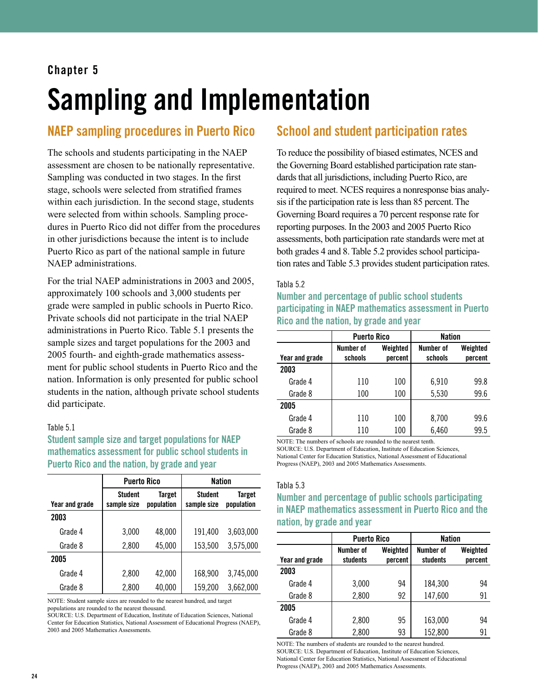## **Chapter 5**

## Sampling and Implementation

## **NAEP sampling procedures in Puerto Rico**

The schools and students participating in the NAEP assessment are chosen to be nationally representative. Sampling was conducted in two stages. In the first stage, schools were selected from stratified frames within each jurisdiction. In the second stage, students were selected from within schools. Sampling procedures in Puerto Rico did not differ from the procedures in other jurisdictions because the intent is to include Puerto Rico as part of the national sample in future NAEP administrations.

For the trial NAEP administrations in 2003 and 2005, approximately 100 schools and 3,000 students per grade were sampled in public schools in Puerto Rico. Private schools did not participate in the trial NAEP administrations in Puerto Rico. Table 5.1 presents the sample sizes and target populations for the 2003 and 2005 fourth- and eighth-grade mathematics assessment for public school students in Puerto Rico and the nation. Information is only presented for public school students in the nation, although private school students did participate.

#### Table 5.1

**Student sample size and target populations for NAEP mathematics assessment for public school students in Puerto Rico and the nation, by grade and year**

|                | <b>Puerto Rico</b>            |                      | <b>Nation</b>                 |                      |
|----------------|-------------------------------|----------------------|-------------------------------|----------------------|
| Year and grade | <b>Student</b><br>sample size | Target<br>population | <b>Student</b><br>sample size | Target<br>population |
| 2003           |                               |                      |                               |                      |
| Grade 4        | 3,000                         | 48,000               | 191,400                       | 3,603,000            |
| Grade 8        | 2,800                         | 45,000               | 153,500                       | 3,575,000            |
| 2005           |                               |                      |                               |                      |
| Grade 4        | 2,800                         | 42,000               | 168,900                       | 3,745,000            |
| Grade 8        | 2,800                         | 40,000               | 159,200                       | 3,662,000            |

NOTE: Student sample sizes are rounded to the nearest hundred, and target populations are rounded to the nearest thousand.

SOURCE: U.S. Department of Education, Institute of Education Sciences, National Center for Education Statistics, National Assessment of Educational Progress (NAEP), 2003 and 2005 Mathematics Assessments.

## **School and student participation rates**

To reduce the possibility of biased estimates, NCES and the Governing Board established participation rate standards that all jurisdictions, including Puerto Rico, are required to meet. NCES requires a nonresponse bias analysis if the participation rate is less than 85 percent. The Governing Board requires a 70 percent response rate for reporting purposes. In the 2003 and 2005 Puerto Rico assessments, both participation rate standards were met at both grades 4 and 8. Table 5.2 provides school participation rates and Table 5.3 provides student participation rates.

#### Tabla 5.2

**Number and percentage of public school students participating in NAEP mathematics assessment in Puerto Rico and the nation, by grade and year**

|                | <b>Puerto Rico</b> |          | Nation    |          |
|----------------|--------------------|----------|-----------|----------|
|                | Number of          | Weighted | Number of | Weighted |
| Year and grade | schools            | percent  | schools   | percent  |
| 2003           |                    |          |           |          |
| Grade 4        | 110                | 100      | 6,910     | 99.8     |
| Grade 8        | 100                | 100      | 5,530     | 99.6     |
| 2005           |                    |          |           |          |
| Grade 4        | 110                | 100      | 8,700     | 99.6     |
| Grade 8        | 110                | 100      | 6,460     | 99.5     |

NOTE: The numbers of schools are rounded to the nearest tenth.

SOURCE: U.S. Department of Education, Institute of Education Sciences, National Center for Education Statistics, National Assessment of Educational Progress (NAEP), 2003 and 2005 Mathematics Assessments.

#### Tabla 5.3

### **Number and percentage of public schools participating in NAEP mathematics assessment in Puerto Rico and the nation, by grade and year**

|                | <b>Puerto Rico</b>    |                     | <b>Nation</b>         |                     |
|----------------|-----------------------|---------------------|-----------------------|---------------------|
| Year and grade | Number of<br>students | Weighted<br>percent | Number of<br>students | Weighted<br>percent |
| 2003           |                       |                     |                       |                     |
| Grade 4        | 3,000                 | 94                  | 184,300               | 94                  |
| Grade 8        | 2,800                 | 92                  | 147,600               | 91                  |
| 2005           |                       |                     |                       |                     |
| Grade 4        | 2,800                 | 95                  | 163,000               | 94                  |
| Grade 8        | 2,800                 | 93                  | 152,800               | 91                  |

NOTE: The numbers of students are rounded to the nearest hundred. SOURCE: U.S. Department of Education, Institute of Education Sciences, National Center for Education Statistics, National Assessment of Educational Progress (NAEP), 2003 and 2005 Mathematics Assessments.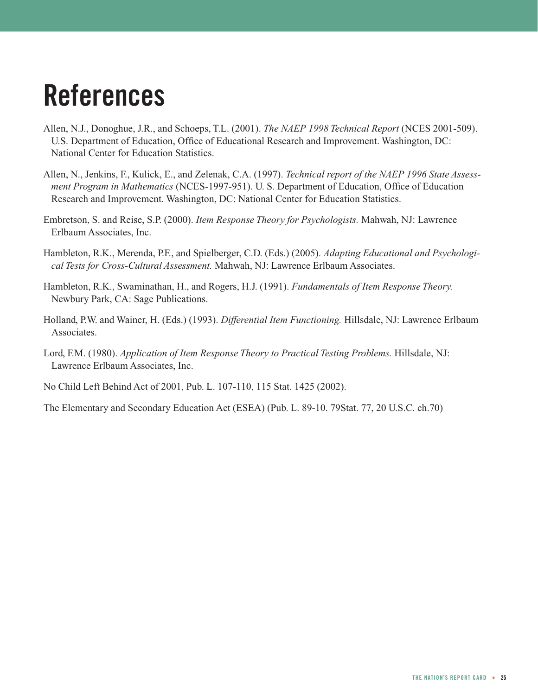## **References**

- Allen, N.J., Donoghue, J.R., and Schoeps, T.L. (2001). *The NAEP 1998 Technical Report* (NCES 2001-509). U.S. Department of Education, Office of Educational Research and Improvement. Washington, DC: National Center for Education Statistics.
- Allen, N., Jenkins, F., Kulick, E., and Zelenak, C.A. (1997). *Technical report of the NAEP 1996 State Assessment Program in Mathematics* (NCES-1997-951). U. S. Department of Education, Office of Education Research and Improvement. Washington, DC: National Center for Education Statistics.
- Embretson, S. and Reise, S.P. (2000). *Item Response Theory for Psychologists.* Mahwah, NJ: Lawrence Erlbaum Associates, Inc.
- Hambleton, R.K., Merenda, P.F., and Spielberger, C.D. (Eds.) (2005). *Adapting Educational and Psychological Tests for Cross-Cultural Assessment.* Mahwah, NJ: Lawrence Erlbaum Associates.
- Hambleton, R.K., Swaminathan, H., and Rogers, H.J. (1991). *Fundamentals of Item Response Theory.* Newbury Park, CA: Sage Publications.
- Holland, P.W. and Wainer, H. (Eds.) (1993). *Differential Item Functioning.* Hillsdale, NJ: Lawrence Erlbaum Associates.
- Lord, F.M. (1980). *Application of Item Response Theory to Practical Testing Problems.* Hillsdale, NJ: Lawrence Erlbaum Associates, Inc.
- No Child Left Behind Act of 2001, Pub. L. 107-110, 115 Stat. 1425 (2002).
- The Elementary and Secondary Education Act (ESEA) (Pub. L. 89-10. 79Stat. 77, 20 U.S.C. ch.70)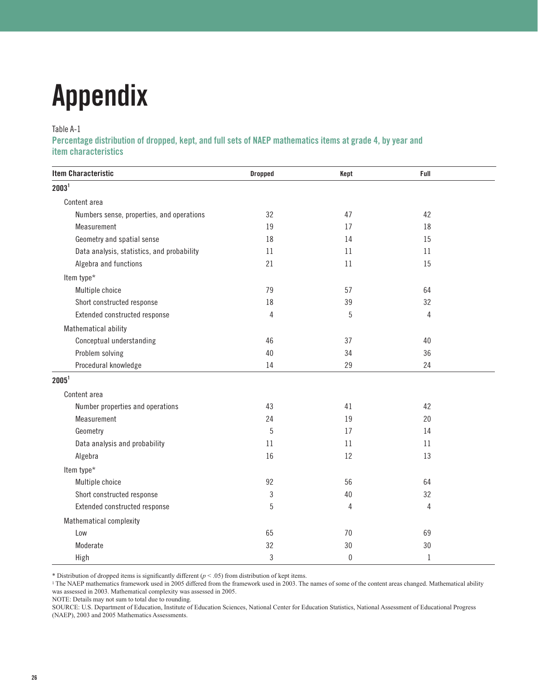# **Appendix**

#### Table A-1

**Percentage distribution of dropped, kept, and full sets of NAEP mathematics items at grade 4, by year and item characteristics**

| <b>Item Characteristic</b>                 | <b>Dropped</b> | Kept             | Full         |  |
|--------------------------------------------|----------------|------------------|--------------|--|
| 2003 <sup>1</sup>                          |                |                  |              |  |
| Content area                               |                |                  |              |  |
| Numbers sense, properties, and operations  | 32             | 47               | 42           |  |
| Measurement                                | 19             | 17               | 18           |  |
| Geometry and spatial sense                 | 18             | 14               | 15           |  |
| Data analysis, statistics, and probability | 11             | 11               | 11           |  |
| Algebra and functions                      | 21             | 11               | 15           |  |
| Item type*                                 |                |                  |              |  |
| Multiple choice                            | 79             | 57               | 64           |  |
| Short constructed response                 | 18             | 39               | 32           |  |
| Extended constructed response              | 4              | $\overline{5}$   | 4            |  |
| Mathematical ability                       |                |                  |              |  |
| Conceptual understanding                   | 46             | 37               | 40           |  |
| Problem solving                            | 40             | 34               | 36           |  |
| Procedural knowledge                       | 14             | 29               | 24           |  |
| 2005 <sup>1</sup>                          |                |                  |              |  |
| Content area                               |                |                  |              |  |
| Number properties and operations           | 43             | 41               | 42           |  |
| Measurement                                | 24             | 19               | 20           |  |
| Geometry                                   | $\sqrt{5}$     | 17               | 14           |  |
| Data analysis and probability              | 11             | 11               | 11           |  |
| Algebra                                    | 16             | 12               | 13           |  |
| Item type*                                 |                |                  |              |  |
| Multiple choice                            | 92             | 56               | 64           |  |
| Short constructed response                 | 3              | 40               | 32           |  |
| Extended constructed response              | 5              | 4                | 4            |  |
| Mathematical complexity                    |                |                  |              |  |
| Low                                        | 65             | 70               | 69           |  |
| Moderate                                   | 32             | 30               | 30           |  |
| High                                       | 3              | $\boldsymbol{0}$ | $\mathbf{1}$ |  |

\* Distribution of dropped items is significantly different (*p* < .05) from distribution of kept items.

<sup>1</sup> The NAEP mathematics framework used in 2005 differed from the framework used in 2003. The names of some of the content areas changed. Mathematical ability was assessed in 2003. Mathematical complexity was assessed in 2005.

NOTE: Details may not sum to total due to rounding.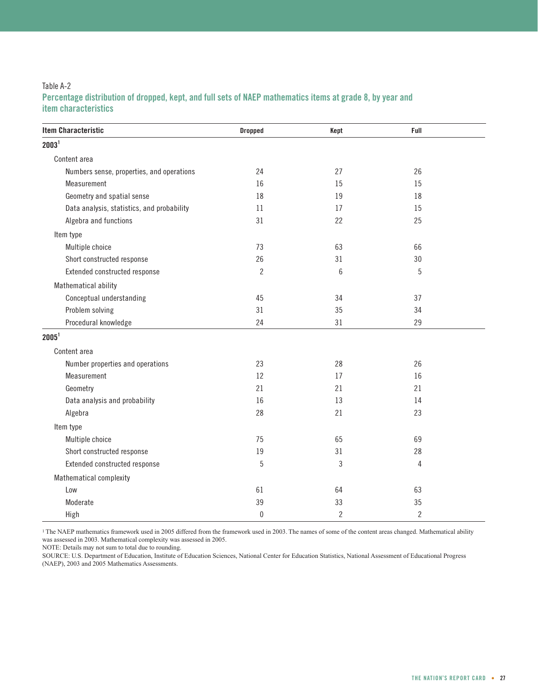#### Table A-2 **Percentage distribution of dropped, kept, and full sets of NAEP mathematics items at grade 8, by year and item characteristics**

| <b>Item Characteristic</b>                 | <b>Dropped</b> | Kept           | Full           |  |
|--------------------------------------------|----------------|----------------|----------------|--|
| 2003 <sup>1</sup>                          |                |                |                |  |
| Content area                               |                |                |                |  |
| Numbers sense, properties, and operations  | 24             | 27             | 26             |  |
| Measurement                                | 16             | 15             | 15             |  |
| Geometry and spatial sense                 | 18             | 19             | 18             |  |
| Data analysis, statistics, and probability | 11             | 17             | 15             |  |
| Algebra and functions                      | 31             | 22             | 25             |  |
| Item type                                  |                |                |                |  |
| Multiple choice                            | 73             | 63             | 66             |  |
| Short constructed response                 | 26             | 31             | 30             |  |
| Extended constructed response              | $\overline{c}$ | 6              | 5              |  |
| Mathematical ability                       |                |                |                |  |
| Conceptual understanding                   | 45             | 34             | 37             |  |
| Problem solving                            | 31             | 35             | 34             |  |
| Procedural knowledge                       | 24             | 31             | 29             |  |
| 2005 <sup>1</sup>                          |                |                |                |  |
| Content area                               |                |                |                |  |
| Number properties and operations           | 23             | 28             | 26             |  |
| Measurement                                | 12             | 17             | 16             |  |
| Geometry                                   | 21             | 21             | 21             |  |
| Data analysis and probability              | 16             | 13             | 14             |  |
| Algebra                                    | 28             | 21             | 23             |  |
| Item type                                  |                |                |                |  |
| Multiple choice                            | 75             | 65             | 69             |  |
| Short constructed response                 | 19             | 31             | 28             |  |
| Extended constructed response              | $5\,$          | 3              | 4              |  |
| Mathematical complexity                    |                |                |                |  |
| Low                                        | 61             | 64             | 63             |  |
| Moderate                                   | 39             | 33             | 35             |  |
| High                                       | $\mathbf{0}$   | $\overline{2}$ | $\overline{2}$ |  |

<sup>1</sup> The NAEP mathematics framework used in 2005 differed from the framework used in 2003. The names of some of the content areas changed. Mathematical ability was assessed in 2003. Mathematical complexity was assessed in 2005.

NOTE: Details may not sum to total due to rounding.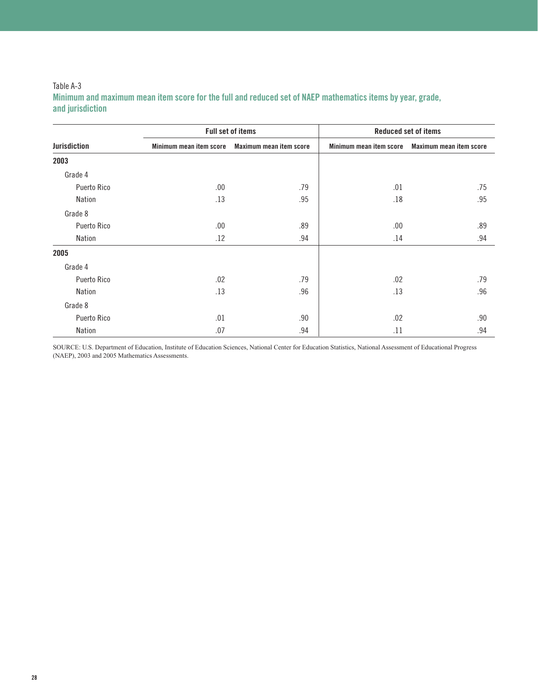#### Table A-3 **Minimum and maximum mean item score for the full and reduced set of NAEP mathematics items by year, grade, and jurisdiction**

|                     |                         | <b>Full set of items</b> | <b>Reduced set of items</b> |                         |
|---------------------|-------------------------|--------------------------|-----------------------------|-------------------------|
| <b>Jurisdiction</b> | Minimum mean item score | Maximum mean item score  | Minimum mean item score     | Maximum mean item score |
| 2003                |                         |                          |                             |                         |
| Grade 4             |                         |                          |                             |                         |
| Puerto Rico         | .00                     | .79                      | .01                         | .75                     |
| Nation              | .13                     | .95                      | .18                         | .95                     |
| Grade 8             |                         |                          |                             |                         |
| Puerto Rico         | .00                     | .89                      | .00.                        | .89                     |
| Nation              | .12                     | .94                      | .14                         | .94                     |
| 2005                |                         |                          |                             |                         |
| Grade 4             |                         |                          |                             |                         |
| Puerto Rico         | .02                     | .79                      | .02                         | .79                     |
| Nation              | .13                     | .96                      | .13                         | .96                     |
| Grade 8             |                         |                          |                             |                         |
| Puerto Rico         | .01                     | .90                      | .02                         | .90                     |
| Nation              | .07                     | .94                      | .11                         | .94                     |